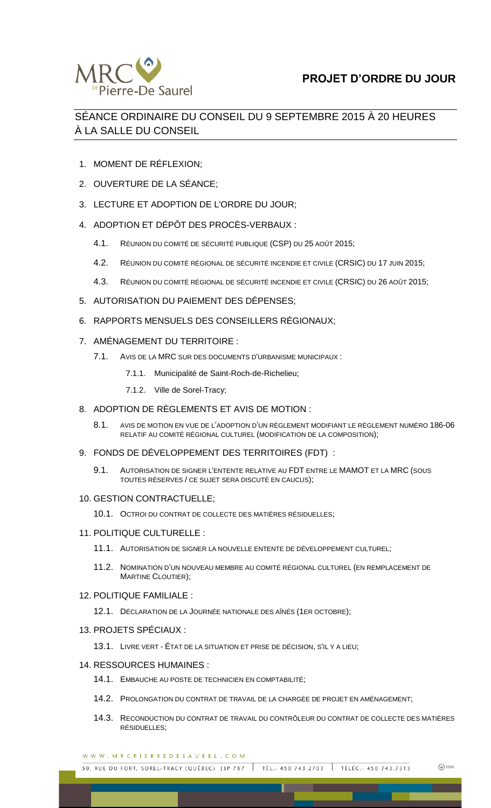

## SÉANCE ORDINAIRE DU CONSEIL DU 9 SEPTEMBRE 2015 À 20 HEURES À LA SALLE DU CONSEIL

- 1. MOMENT DE RÉFLEXION;
- 2. OUVERTURE DE LA SÉANCE;
- 3. LECTURE ET ADOPTION DE L'ORDRE DU JOUR;
- 4. ADOPTION ET DÉPÔT DES PROCÈS-VERBAUX :
	- 4.1. RÉUNION DU COMITÉ DE SÉCURITÉ PUBLIQUE (CSP) DU 25 AOÛT 2015;
	- 4.2. RÉUNION DU COMITÉ RÉGIONAL DE SÉCURITÉ INCENDIE ET CIVILE (CRSIC) DU 17 JUIN 2015;
	- 4.3. RÉUNION DU COMITÉ RÉGIONAL DE SÉCURITÉ INCENDIE ET CIVILE (CRSIC) DU 26 AOÛT 2015;
- 5. AUTORISATION DU PAIEMENT DES DÉPENSES;
- 6. RAPPORTS MENSUELS DES CONSEILLERS RÉGIONAUX;
- 7. AMÉNAGEMENT DU TERRITOIRE :
	- 7.1. AVIS DE LA MRC SUR DES DOCUMENTS D'URBANISME MUNICIPAUX :
		- 7.1.1. Municipalité de Saint-Roch-de-Richelieu;
		- 7.1.2. Ville de Sorel-Tracy;
- 8. ADOPTION DE RÈGLEMENTS ET AVIS DE MOTION :
	- 8.1. AVIS DE MOTION EN VUE DE L'ADOPTION D'UN RÈGLEMENT MODIFIANT LE RÈGLEMENT NUMÉRO 186-06 RELATIF AU COMITÉ RÉGIONAL CULTUREL (MODIFICATION DE LA COMPOSITION);
- 9. FONDS DE DÉVELOPPEMENT DES TERRITOIRES (FDT) :
	- 9.1. AUTORISATION DE SIGNER L'ENTENTE RELATIVE AU FDT ENTRE LE MAMOT ET LA MRC (SOUS TOUTES RÉSERVES / CE SUJET SERA DISCUTÉ EN CAUCUS);

## 10. GESTION CONTRACTUELLE;

- 10.1. OCTROI DU CONTRAT DE COLLECTE DES MATIÈRES RÉSIDUELLES;
- 11. POLITIQUE CULTURELLE :
	- 11.1. AUTORISATION DE SIGNER LA NOUVELLE ENTENTE DE DÉVELOPPEMENT CULTUREL;
	- 11.2. NOMINATION D'UN NOUVEAU MEMBRE AU COMITÉ RÉGIONAL CULTUREL (EN REMPLACEMENT DE MARTINE CLOUTIER);
- 12. POLITIQUE FAMILIALE :
	- 12.1. DÉCLARATION DE LA JOURNÉE NATIONALE DES AÎNÉS (1ER OCTOBRE);
- 13. PROJETS SPÉCIAUX :
	- 13.1. LIVRE VERT ÉTAT DE LA SITUATION ET PRISE DE DÉCISION, S'IL Y A LIEU;

## 14. RESSOURCES HUMAINES :

- 14.1. EMBAUCHE AU POSTE DE TECHNICIEN EN COMPTABILITÉ;
- 14.2. PROLONGATION DU CONTRAT DE TRAVAIL DE LA CHARGÉE DE PROJET EN AMÉNAGEMENT;
- 14.3. RECONDUCTION DU CONTRAT DE TRAVAIL DU CONTRÔLEUR DU CONTRAT DE COLLECTE DES MATIÈRES RÉSIDUELLES;

WWW.MRCPIERREDESAUREL.COM